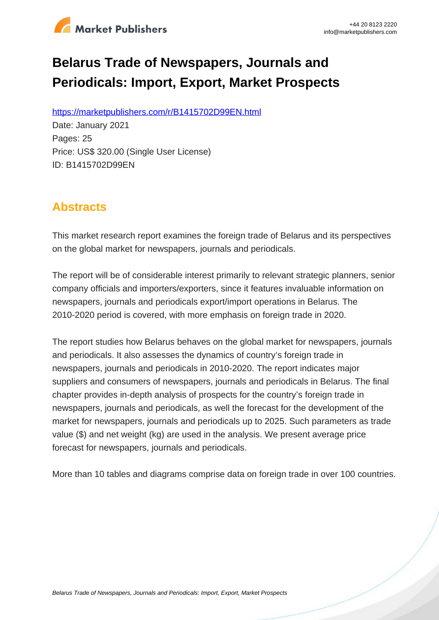

# **Belarus Trade of Newspapers, Journals and Periodicals: Import, Export, Market Prospects**

https://marketpublishers.com/r/B1415702D99EN.html

Date: January 2021 Pages: 25 Price: US\$ 320.00 (Single User License) ID: B1415702D99EN

# **Abstracts**

This market research report examines the foreign trade of Belarus and its perspectives on the global market for newspapers, journals and periodicals.

The report will be of considerable interest primarily to relevant strategic planners, senior company officials and importers/exporters, since it features invaluable information on newspapers, journals and periodicals export/import operations in Belarus. The 2010-2020 period is covered, with more emphasis on foreign trade in 2020.

The report studies how Belarus behaves on the global market for newspapers, journals and periodicals. It also assesses the dynamics of country's foreign trade in newspapers, journals and periodicals in 2010-2020. The report indicates major suppliers and consumers of newspapers, journals and periodicals in Belarus. The final chapter provides in-depth analysis of prospects for the country's foreign trade in newspapers, journals and periodicals, as well the forecast for the development of the market for newspapers, journals and periodicals up to 2025. Such parameters as trade value (\$) and net weight (kg) are used in the analysis. We present average price forecast for newspapers, journals and periodicals.

More than 10 tables and diagrams comprise data on foreign trade in over 100 countries.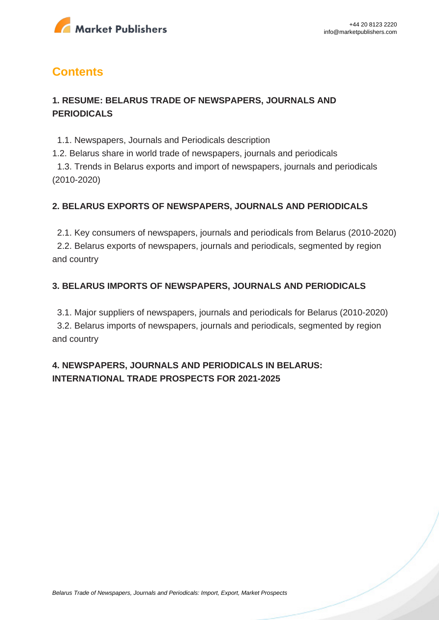

# **Contents**

## **1. RESUME: BELARUS TRADE OF NEWSPAPERS, JOURNALS AND PERIODICALS**

1.1. Newspapers, Journals and Periodicals description

1.2. Belarus share in world trade of newspapers, journals and periodicals

 1.3. Trends in Belarus exports and import of newspapers, journals and periodicals (2010-2020)

#### **2. BELARUS EXPORTS OF NEWSPAPERS, JOURNALS AND PERIODICALS**

 2.1. Key consumers of newspapers, journals and periodicals from Belarus (2010-2020) 2.2. Belarus exports of newspapers, journals and periodicals, segmented by region and country

## **3. BELARUS IMPORTS OF NEWSPAPERS, JOURNALS AND PERIODICALS**

 3.1. Major suppliers of newspapers, journals and periodicals for Belarus (2010-2020) 3.2. Belarus imports of newspapers, journals and periodicals, segmented by region and country

# **4. NEWSPAPERS, JOURNALS AND PERIODICALS IN BELARUS: INTERNATIONAL TRADE PROSPECTS FOR 2021-2025**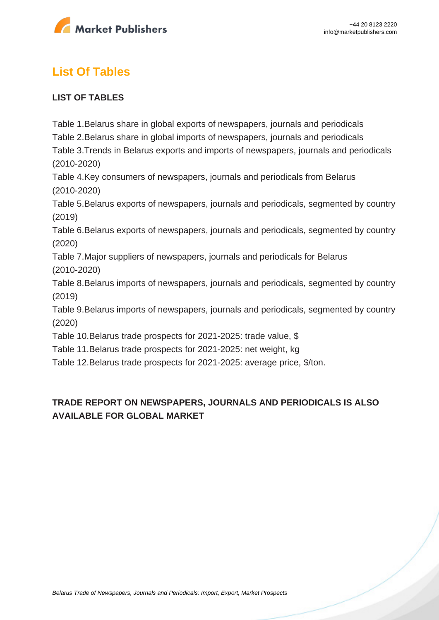

# **List Of Tables**

#### **LIST OF TABLES**

Table 1.Belarus share in global exports of newspapers, journals and periodicals Table 2.Belarus share in global imports of newspapers, journals and periodicals Table 3.Trends in Belarus exports and imports of newspapers, journals and periodicals (2010-2020)

Table 4.Key consumers of newspapers, journals and periodicals from Belarus (2010-2020)

Table 5.Belarus exports of newspapers, journals and periodicals, segmented by country (2019)

Table 6.Belarus exports of newspapers, journals and periodicals, segmented by country (2020)

Table 7.Major suppliers of newspapers, journals and periodicals for Belarus (2010-2020)

Table 8.Belarus imports of newspapers, journals and periodicals, segmented by country (2019)

Table 9.Belarus imports of newspapers, journals and periodicals, segmented by country (2020)

Table 10.Belarus trade prospects for 2021-2025: trade value, \$

Table 11.Belarus trade prospects for 2021-2025: net weight, kg

Table 12.Belarus trade prospects for 2021-2025: average price, \$/ton.

# **TRADE REPORT ON NEWSPAPERS, JOURNALS AND PERIODICALS IS ALSO AVAILABLE FOR GLOBAL MARKET**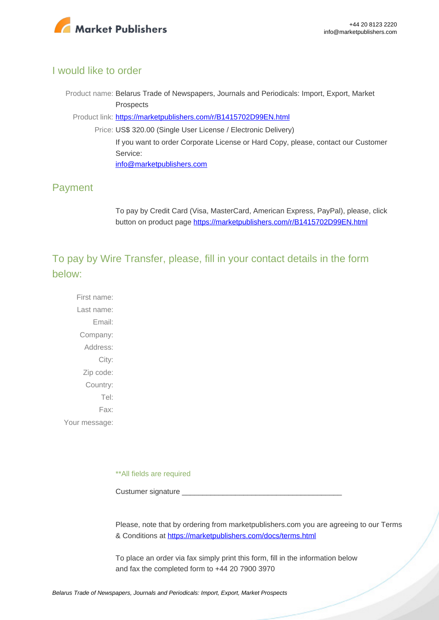

#### I would like to order

Product name: Belarus Trade of Newspapers, Journals and Periodicals: Import, Export, Market Prospects

Product link: [https://marketpublishers.com/r/B1415702D99EN.html](https://marketpublishers.com/report/technologies_electronics/media/belarus_trade_market_research_of_newspapers_journals_n_periodicals_bac.html)

Price: US\$ 320.00 (Single User License / Electronic Delivery) If you want to order Corporate License or Hard Copy, please, contact our Customer Service: [info@marketpublishers.com](mailto:info@marketpublishers.com)

## Payment

To pay by Credit Card (Visa, MasterCard, American Express, PayPal), please, click button on product page [https://marketpublishers.com/r/B1415702D99EN.html](https://marketpublishers.com/report/technologies_electronics/media/belarus_trade_market_research_of_newspapers_journals_n_periodicals_bac.html)

To pay by Wire Transfer, please, fill in your contact details in the form below:

First name: Last name: Email: Company: Address: City: Zip code: Country: Tel: Fax: Your message:

\*\*All fields are required

Custumer signature

Please, note that by ordering from marketpublishers.com you are agreeing to our Terms & Conditions at<https://marketpublishers.com/docs/terms.html>

To place an order via fax simply print this form, fill in the information below and fax the completed form to +44 20 7900 3970